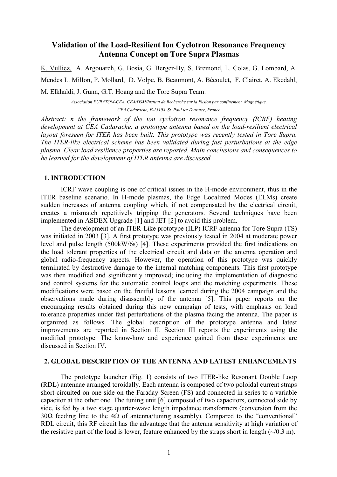# Validation of the Load-Resilient Ion Cyclotron Resonance Frequency Antenna Concept on Tore Supra Plasmas

K. Vulliez, A. Argouarch, G. Bosia, G. Berger-By, S. Bremond, L. Colas, G. Lombard, A. Mendes L. Millon, P. Mollard, D. Volpe, B. Beaumont, A. Bécoulet, F. Clairet, A. Ekedahl, M. Elkhaldi, J. Gunn, G.T. Hoang and the Tore Supra Team.

> Association EURATOM-CEA, CEA/DSM/Institut de Recherche sur la Fusion par confinement Magnétique, CEA Cadarache, F-13108 St. Paul lez Durance, France

Abstract: n the framework of the ion cyclotron resonance frequency (ICRF) heating development at CEA Cadarache, a prototype antenna based on the load-resilient electrical layout foreseen for ITER has been built. This prototype was recently tested in Tore Supra. The ITER-like electrical scheme has been validated during fast perturbations at the edge plasma. Clear load resilience properties are reported. Main conclusions and consequences to be learned for the development of ITER antenna are discussed.

# 1. INTRODUCTION

ICRF wave coupling is one of critical issues in the H-mode environment, thus in the ITER baseline scenario. In H-mode plasmas, the Edge Localized Modes (ELMs) create sudden increases of antenna coupling which, if not compensated by the electrical circuit, creates a mismatch repetitively tripping the generators. Several techniques have been implemented in ASDEX Upgrade [1] and JET [2] to avoid this problem.

The development of an ITER-Like prototype (ILP) ICRF antenna for Tore Supra (TS) was initiated in 2003 [3]. A first prototype was previously tested in 2004 at moderate power level and pulse length (500kW/6s) [4]. These experiments provided the first indications on the load tolerant properties of the electrical circuit and data on the antenna operation and global radio-frequency aspects. However, the operation of this prototype was quickly terminated by destructive damage to the internal matching components. This first prototype was then modified and significantly improved; including the implementation of diagnostic and control systems for the automatic control loops and the matching experiments. These modifications were based on the fruitful lessons learned during the 2004 campaign and the observations made during disassembly of the antenna [5]. This paper reports on the encouraging results obtained during this new campaign of tests, with emphasis on load tolerance properties under fast perturbations of the plasma facing the antenna. The paper is organized as follows. The global description of the prototype antenna and latest improvements are reported in Section II. Section III reports the experiments using the modified prototype. The know-how and experience gained from these experiments are discussed in Section IV.

#### 2. GLOBAL DESCRIPTION OF THE ANTENNA AND LATEST ENHANCEMENTS

The prototype launcher (Fig. 1) consists of two ITER-like Resonant Double Loop (RDL) antennae arranged toroidally. Each antenna is composed of two poloidal current straps short-circuited on one side on the Faraday Screen (FS) and connected in series to a variable capacitor at the other one. The tuning unit [6] composed of two capacitors, connected side by side, is fed by a two stage quarter-wave length impedance transformers (conversion from the 30 $\Omega$  feeding line to the 4 $\Omega$  of antenna/tuning assembly). Compared to the "conventional" RDL circuit, this RF circuit has the advantage that the antenna sensitivity at high variation of the resistive part of the load is lower, feature enhanced by the straps short in length  $(\sim/0.3 \text{ m})$ .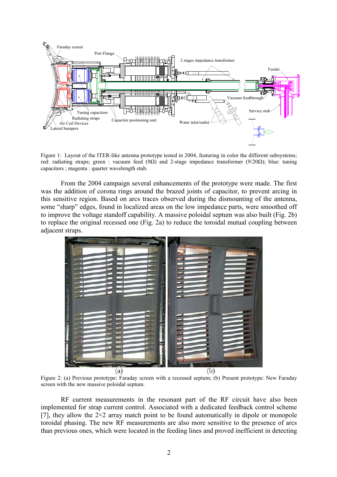

Figure 1: Layout of the ITER-like antenna prototype tested in 2004, featuring in color the different subsystems; red: radiating straps; green : vacuum feed (9Ω) and 2-stage impedance transformer (9/20Ω); blue: tuning capacitors ; magenta : quarter wavelength stub.

From the 2004 campaign several enhancements of the prototype were made. The first was the addition of corona rings around the brazed joints of capacitor, to prevent arcing in this sensitive region. Based on arcs traces observed during the dismounting of the antenna, some "sharp" edges, found in localized areas on the low impedance parts, were smoothed off to improve the voltage standoff capability. A massive poloidal septum was also built (Fig. 2b) to replace the original recessed one (Fig. 2a) to reduce the toroidal mutual coupling between adjacent straps.



Figure 2: (a) Previous prototype: Faraday screen with a recessed septum; (b) Present prototype: New Faraday screen with the new massive poloidal septum.

RF current measurements in the resonant part of the RF circuit have also been implemented for strap current control. Associated with a dedicated feedback control scheme [7], they allow the  $2\times 2$  array match point to be found automatically in dipole or monopole toroidal phasing. The new RF measurements are also more sensitive to the presence of arcs than previous ones, which were located in the feeding lines and proved inefficient in detecting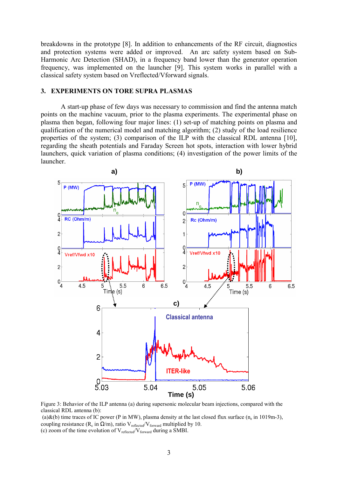breakdowns in the prototype [8]. In addition to enhancements of the RF circuit, diagnostics and protection systems were added or improved. An arc safety system based on Sub-Harmonic Arc Detection (SHAD), in a frequency band lower than the generator operation frequency, was implemented on the launcher [9]. This system works in parallel with a classical safety system based on Vreflected/Vforward signals.

# 3. EXPERIMENTS ON TORE SUPRA PLASMAS

A start-up phase of few days was necessary to commission and find the antenna match points on the machine vacuum, prior to the plasma experiments. The experimental phase on plasma then began, following four major lines: (1) set-up of matching points on plasma and qualification of the numerical model and matching algorithm; (2) study of the load resilience properties of the system; (3) comparison of the ILP with the classical RDL antenna [10], regarding the sheath potentials and Faraday Screen hot spots, interaction with lower hybrid launchers, quick variation of plasma conditions; (4) investigation of the power limits of the launcher.



Figure 3: Behavior of the ILP antenna (a) during supersonic molecular beam injections, compared with the classical RDL antenna (b):

(a)&(b) time traces of IC power (P in MW), plasma density at the last closed flux surface  $(n_e$  in 1019m-3), coupling resistance ( $R_c$  in  $\Omega/m$ ), ratio  $V_{reflected}/V_{forward}$  multiplied by 10. (c) zoom of the time evolution of  $V_{reflected}/V_{forward}$  during a SMBI.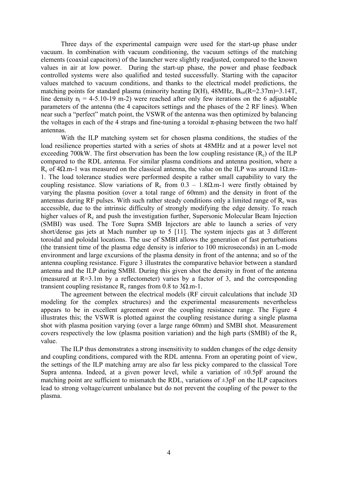Three days of the experimental campaign were used for the start-up phase under vacuum. In combination with vacuum conditioning, the vacuum settings of the matching elements (coaxial capacitors) of the launcher were slightly readjusted, compared to the known values in air at low power. During the start-up phase, the power and phase feedback controlled systems were also qualified and tested successfully. Starting with the capacitor values matched to vacuum conditions, and thanks to the electrical model predictions, the matching points for standard plasma (minority heating  $D(H)$ , 48MHz,  $B_{tor}(R=2.37m)=3.14T$ , line density  $n_1 = 4-5.10-19$  m-2) were reached after only few iterations on the 6 adjustable parameters of the antenna (the 4 capacitors settings and the phases of the 2 RF lines). When near such a "perfect" match point, the VSWR of the antenna was then optimized by balancing the voltages in each of the 4 straps and fine-tuning a toroidal  $\pi$ -phasing between the two half antennas.

With the ILP matching system set for chosen plasma conditions, the studies of the load resilience properties started with a series of shots at 48MHz and at a power level not exceeding 700kW. The first observation has been the low coupling resistance  $(R_c)$  of the ILP compared to the RDL antenna. For similar plasma conditions and antenna position, where a R<sub>c</sub> of 4Ω.m-1 was measured on the classical antenna, the value on the ILP was around 1Ω.m-1. The load tolerance studies were performed despite a rather small capability to vary the coupling resistance. Slow variations of R<sub>c</sub> from  $0.3 - 1.8 \Omega$  m-1 were firstly obtained by varying the plasma position (over a total range of 60mm) and the density in front of the antennas during RF pulses. With such rather steady conditions only a limited range of  $R<sub>c</sub>$  was accessible, due to the intrinsic difficulty of strongly modifying the edge density. To reach higher values of  $R_c$  and push the investigation further, Supersonic Molecular Beam Injection (SMBI) was used. The Tore Supra SMB Injectors are able to launch a series of very short/dense gas jets at Mach number up to 5 [11]. The system injects gas at 3 different toroidal and poloidal locations. The use of SMBI allows the generation of fast perturbations (the transient time of the plasma edge density is inferior to 100 microseconds) in an L-mode environment and large excursions of the plasma density in front of the antenna; and so of the antenna coupling resistance. Figure 3 illustrates the comparative behavior between a standard antenna and the ILP during SMBI. During this given shot the density in front of the antenna (measured at  $R=3.1$ m by a reflectometer) varies by a factor of 3, and the corresponding transient coupling resistance R<sub>c</sub> ranges from 0.8 to 3 $\Omega$ .m-1.

The agreement between the electrical models (RF circuit calculations that include 3D modeling for the complex structures) and the experimental measurements nevertheless appears to be in excellent agreement over the coupling resistance range. The Figure 4 illustrates this; the VSWR is plotted against the coupling resistance during a single plasma shot with plasma position varying (over a large range 60mm) and SMBI shot. Measurement covers respectively the low (plasma position variation) and the high parts (SMBI) of the  $R_c$ value.

The ILP thus demonstrates a strong insensitivity to sudden changes of the edge density and coupling conditions, compared with the RDL antenna. From an operating point of view, the settings of the ILP matching array are also far less picky compared to the classical Tore Supra antenna. Indeed, at a given power level, while a variation of  $\pm 0.5pF$  around the matching point are sufficient to mismatch the RDL, variations of  $\pm 3p$ F on the ILP capacitors lead to strong voltage/current unbalance but do not prevent the coupling of the power to the plasma.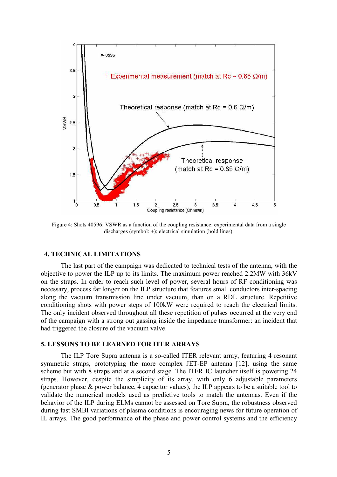

Figure 4: Shots 40596: VSWR as a function of the coupling resistance: experimental data from a single discharges (symbol: +); electrical simulation (bold lines).

#### 4. TECHNICAL LIMITATIONS

The last part of the campaign was dedicated to technical tests of the antenna, with the objective to power the ILP up to its limits. The maximum power reached 2.2MW with 36kV on the straps. In order to reach such level of power, several hours of RF conditioning was necessary, process far longer on the ILP structure that features small conductors inter-spacing along the vacuum transmission line under vacuum, than on a RDL structure. Repetitive conditioning shots with power steps of 100kW were required to reach the electrical limits. The only incident observed throughout all these repetition of pulses occurred at the very end of the campaign with a strong out gassing inside the impedance transformer: an incident that had triggered the closure of the vacuum valve.

### 5. LESSONS TO BE LEARNED FOR ITER ARRAYS

 The ILP Tore Supra antenna is a so-called ITER relevant array, featuring 4 resonant symmetric straps, prototyping the more complex JET-EP antenna [12], using the same scheme but with 8 straps and at a second stage. The ITER IC launcher itself is powering 24 straps. However, despite the simplicity of its array, with only 6 adjustable parameters (generator phase & power balance, 4 capacitor values), the ILP appears to be a suitable tool to validate the numerical models used as predictive tools to match the antennas. Even if the behavior of the ILP during ELMs cannot be assessed on Tore Supra, the robustness observed during fast SMBI variations of plasma conditions is encouraging news for future operation of IL arrays. The good performance of the phase and power control systems and the efficiency